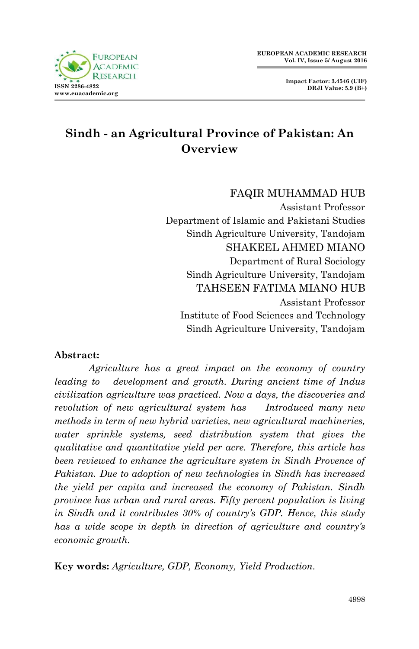**Impact Factor: 3.4546 (UIF) DRJI Value: 5.9 (B+)**



# **Sindh - an Agricultural Province of Pakistan: An Overview**

FAQIR MUHAMMAD HUB Assistant Professor Department of Islamic and Pakistani Studies Sindh Agriculture University, Tandojam SHAKEEL AHMED MIANO Department of Rural Sociology Sindh Agriculture University, Tandojam TAHSEEN FATIMA MIANO HUB Assistant Professor Institute of Food Sciences and Technology Sindh Agriculture University, Tandojam

#### **Abstract:**

 *Agriculture has a great impact on the economy of country leading to development and growth. During ancient time of Indus civilization agriculture was practiced. Now a days, the discoveries and revolution of new agricultural system has Introduced many new methods in term of new hybrid varieties, new agricultural machineries, water sprinkle systems, seed distribution system that gives the qualitative and quantitative yield per acre. Therefore, this article has been reviewed to enhance the agriculture system in Sindh Provence of Pakistan. Due to adoption of new technologies in Sindh has increased the yield per capita and increased the economy of Pakistan. Sindh province has urban and rural areas. Fifty percent population is living in Sindh and it contributes 30% of country's GDP. Hence, this study has a wide scope in depth in direction of agriculture and country's economic growth.*

**Key words:** *Agriculture, GDP, Economy, Yield Production.*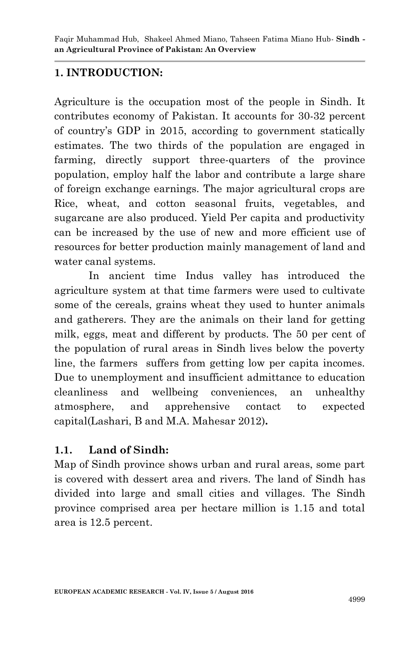## **1. INTRODUCTION:**

Agriculture is the occupation most of the people in Sindh. It contributes economy of Pakistan. It accounts for 30-32 percent of country's GDP in 2015, according to government statically estimates. The two thirds of the population are engaged in farming, directly support three-quarters of the province population, employ half the labor and contribute a large share of foreign exchange earnings. The major agricultural crops are Rice, wheat, and cotton seasonal fruits, vegetables, and sugarcane are also produced. Yield Per capita and productivity can be increased by the use of new and more efficient use of resources for better production mainly management of land and water canal systems.

In ancient time Indus valley has introduced the agriculture system at that time farmers were used to cultivate some of the cereals, grains wheat they used to hunter animals and gatherers. They are the animals on their land for getting milk, eggs, meat and different by products. The 50 per cent of the population of rural areas in Sindh lives below the poverty line, the farmers suffers from getting low per capita incomes. Due to unemployment and insufficient admittance to education cleanliness and wellbeing conveniences, an unhealthy atmosphere, and apprehensive contact to expected capital(Lashari, B and M.A. Mahesar 2012)**.**

## **1.1. Land of Sindh:**

Map of Sindh province shows urban and rural areas, some part is covered with dessert area and rivers. The land of Sindh has divided into large and small cities and villages. The Sindh province comprised area per hectare million is 1.15 and total area is 12.5 percent.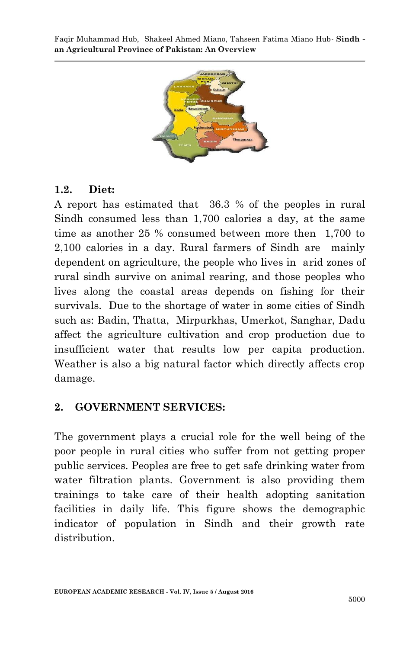Faqir Muhammad Hub, Shakeel Ahmed Miano, Tahseen Fatima Miano Hub*-* **Sindh an Agricultural Province of Pakistan: An Overview**



#### **1.2. Diet:**

A report has estimated that 36.3 % of the peoples in rural Sindh consumed less than 1,700 calories a day, at the same time as another 25 % consumed between more then 1,700 to 2,100 calories in a day. Rural farmers of Sindh are mainly dependent on agriculture, the people who lives in arid zones of rural sindh survive on animal rearing, and those peoples who lives along the coastal areas depends on fishing for their survivals. Due to the shortage of water in some cities of Sindh such as: Badin, Thatta, Mirpurkhas, Umerkot, Sanghar, Dadu affect the agriculture cultivation and crop production due to insufficient water that results low per capita production. Weather is also a big natural factor which directly affects crop damage.

#### **2. GOVERNMENT SERVICES:**

The government plays a crucial role for the well being of the poor people in rural cities who suffer from not getting proper public services. Peoples are free to get safe drinking water from water filtration plants. Government is also providing them trainings to take care of their health adopting sanitation facilities in daily life. This figure shows the demographic indicator of population in Sindh and their growth rate distribution.